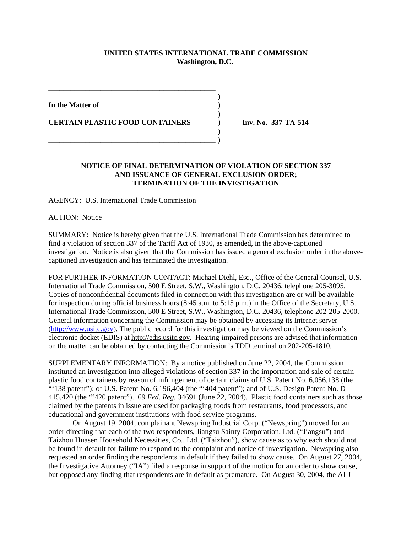## **UNITED STATES INTERNATIONAL TRADE COMMISSION Washington, D.C.**

**)**

**)**

**)**

**In the Matter of )**

**CERTAIN PLASTIC FOOD CONTAINERS ) Inv. No. 337-TA-514**

**\_\_\_\_\_\_\_\_\_\_\_\_\_\_\_\_\_\_\_\_\_\_\_\_\_\_\_\_\_\_\_\_\_\_\_\_\_\_\_\_\_\_\_\_\_**

**\_\_\_\_\_\_\_\_\_\_\_\_\_\_\_\_\_\_\_\_\_\_\_\_\_\_\_\_\_\_\_\_\_\_\_\_\_\_\_\_\_\_\_\_\_ )**

## **NOTICE OF FINAL DETERMINATION OF VIOLATION OF SECTION 337 AND ISSUANCE OF GENERAL EXCLUSION ORDER; TERMINATION OF THE INVESTIGATION**

AGENCY: U.S. International Trade Commission

ACTION: Notice

SUMMARY: Notice is hereby given that the U.S. International Trade Commission has determined to find a violation of section 337 of the Tariff Act of 1930, as amended, in the above-captioned investigation. Notice is also given that the Commission has issued a general exclusion order in the abovecaptioned investigation and has terminated the investigation.

FOR FURTHER INFORMATION CONTACT: Michael Diehl, Esq., Office of the General Counsel, U.S. International Trade Commission, 500 E Street, S.W., Washington, D.C. 20436, telephone 205-3095. Copies of nonconfidential documents filed in connection with this investigation are or will be available for inspection during official business hours (8:45 a.m. to 5:15 p.m.) in the Office of the Secretary, U.S. International Trade Commission, 500 E Street, S.W., Washington, D.C. 20436, telephone 202-205-2000. General information concerning the Commission may be obtained by accessing its Internet server (http://www.usitc.gov). The public record for this investigation may be viewed on the Commission's electronic docket (EDIS) at http://edis.usitc.gov. Hearing-impaired persons are advised that information on the matter can be obtained by contacting the Commission's TDD terminal on 202-205-1810.

SUPPLEMENTARY INFORMATION: By a notice published on June 22, 2004, the Commission instituted an investigation into alleged violations of section 337 in the importation and sale of certain plastic food containers by reason of infringement of certain claims of U.S. Patent No. 6,056,138 (the "'138 patent"); of U.S. Patent No. 6,196,404 (the "'404 patent"); and of U.S. Design Patent No. D 415,420 (the "'420 patent"). 69 *Fed. Reg.* 34691 (June 22, 2004). Plastic food containers such as those claimed by the patents in issue are used for packaging foods from restaurants, food processors, and educational and government institutions with food service programs.

On August 19, 2004, complainant Newspring Industrial Corp. ("Newspring") moved for an order directing that each of the two respondents, Jiangsu Sainty Corporation, Ltd. ("Jiangsu") and Taizhou Huasen Household Necessities, Co., Ltd. ("Taizhou"), show cause as to why each should not be found in default for failure to respond to the complaint and notice of investigation. Newspring also requested an order finding the respondents in default if they failed to show cause. On August 27, 2004, the Investigative Attorney ("IA") filed a response in support of the motion for an order to show cause, but opposed any finding that respondents are in default as premature. On August 30, 2004, the ALJ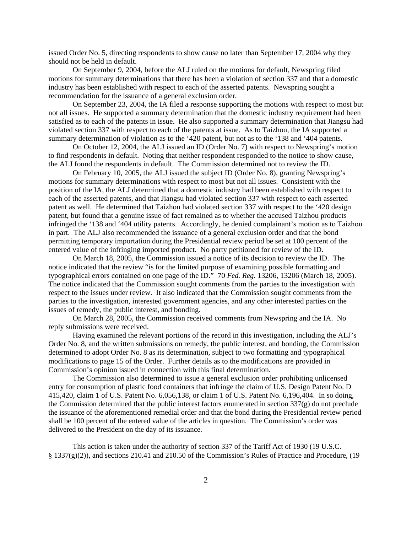issued Order No. 5, directing respondents to show cause no later than September 17, 2004 why they should not be held in default.

On September 9, 2004, before the ALJ ruled on the motions for default, Newspring filed motions for summary determinations that there has been a violation of section 337 and that a domestic industry has been established with respect to each of the asserted patents. Newspring sought a recommendation for the issuance of a general exclusion order.

On September 23, 2004, the IA filed a response supporting the motions with respect to most but not all issues. He supported a summary determination that the domestic industry requirement had been satisfied as to each of the patents in issue. He also supported a summary determination that Jiangsu had violated section 337 with respect to each of the patents at issue. As to Taizhou, the IA supported a summary determination of violation as to the '420 patent, but not as to the '138 and '404 patents.

On October 12, 2004, the ALJ issued an ID (Order No. 7) with respect to Newspring's motion to find respondents in default. Noting that neither respondent responded to the notice to show cause, the ALJ found the respondents in default. The Commission determined not to review the ID.

On February 10, 2005, the ALJ issued the subject ID (Order No. 8), granting Newspring's motions for summary determinations with respect to most but not all issues. Consistent with the position of the IA, the ALJ determined that a domestic industry had been established with respect to each of the asserted patents, and that Jiangsu had violated section 337 with respect to each asserted patent as well. He determined that Taizhou had violated section 337 with respect to the '420 design patent, but found that a genuine issue of fact remained as to whether the accused Taizhou products infringed the '138 and '404 utility patents. Accordingly, he denied complainant's motion as to Taizhou in part. The ALJ also recommended the issuance of a general exclusion order and that the bond permitting temporary importation during the Presidential review period be set at 100 percent of the entered value of the infringing imported product. No party petitioned for review of the ID.

On March 18, 2005, the Commission issued a notice of its decision to review the ID. The notice indicated that the review "is for the limited purpose of examining possible formatting and typographical errors contained on one page of the ID." 70 *Fed. Reg.* 13206, 13206 (March 18, 2005). The notice indicated that the Commission sought comments from the parties to the investigation with respect to the issues under review. It also indicated that the Commission sought comments from the parties to the investigation, interested government agencies, and any other interested parties on the issues of remedy, the public interest, and bonding.

On March 28, 2005, the Commission received comments from Newspring and the IA. No reply submissions were received.

Having examined the relevant portions of the record in this investigation, including the ALJ's Order No. 8, and the written submissions on remedy, the public interest, and bonding, the Commission determined to adopt Order No. 8 as its determination, subject to two formatting and typographical modifications to page 15 of the Order. Further details as to the modifications are provided in Commission's opinion issued in connection with this final determination.

The Commission also determined to issue a general exclusion order prohibiting unlicensed entry for consumption of plastic food containers that infringe the claim of U.S. Design Patent No. D 415,420, claim 1 of U.S. Patent No. 6,056,138, or claim 1 of U.S. Patent No. 6,196,404. In so doing, the Commission determined that the public interest factors enumerated in section 337(g) do not preclude the issuance of the aforementioned remedial order and that the bond during the Presidential review period shall be 100 percent of the entered value of the articles in question. The Commission's order was delivered to the President on the day of its issuance.

This action is taken under the authority of section 337 of the Tariff Act of 1930 (19 U.S.C. § 1337(g)(2)), and sections 210.41 and 210.50 of the Commission's Rules of Practice and Procedure, (19